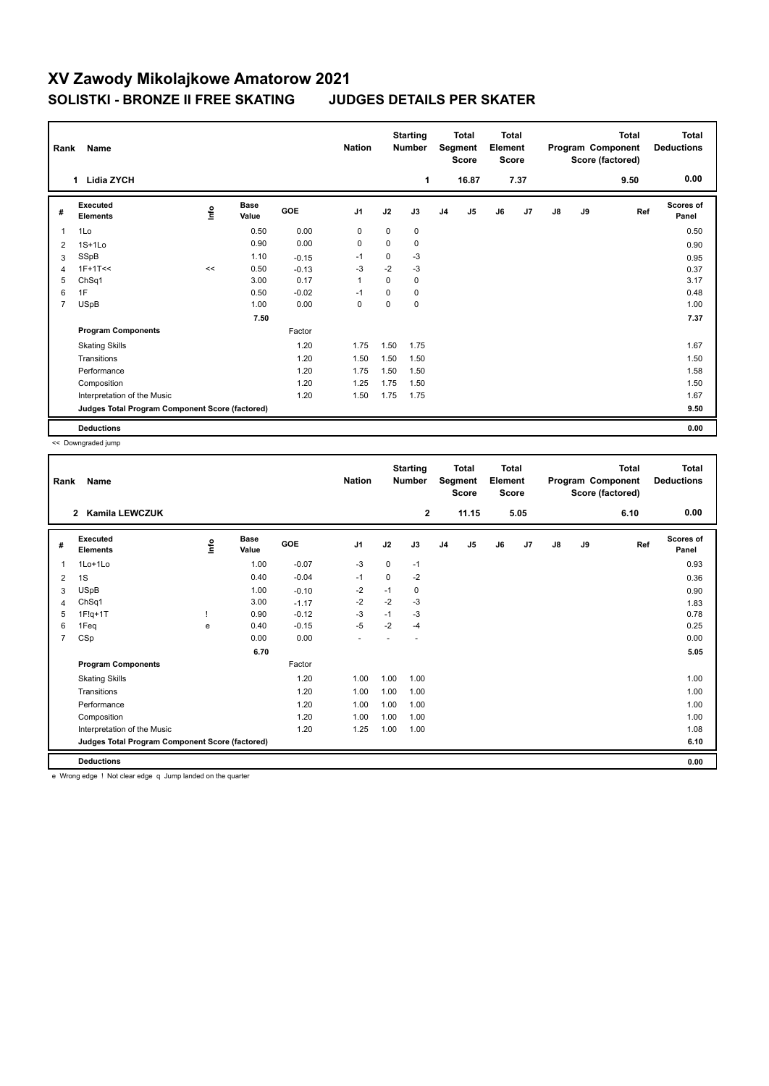## **XV Zawody Mikolajkowe Amatorow 2021 SOLISTKI - BRONZE II FREE SKATING JUDGES DETAILS PER SKATER**

| Name<br>Rank   |                                                 |                                  |                      |         |                |             | <b>Starting</b><br><b>Number</b> | <b>Total</b><br>Segment<br><b>Score</b> |                | <b>Total</b><br>Element<br><b>Score</b> |                | Total<br>Program Component<br>Score (factored) |    |      | <b>Total</b><br><b>Deductions</b> |
|----------------|-------------------------------------------------|----------------------------------|----------------------|---------|----------------|-------------|----------------------------------|-----------------------------------------|----------------|-----------------------------------------|----------------|------------------------------------------------|----|------|-----------------------------------|
|                | <b>Lidia ZYCH</b><br>1                          |                                  |                      |         |                |             | 1                                |                                         | 16.87          |                                         | 7.37           |                                                |    | 9.50 | 0.00                              |
| #              | Executed<br><b>Elements</b>                     | $\mathop{\mathsf{Irr}}\nolimits$ | <b>Base</b><br>Value | GOE     | J <sub>1</sub> | J2          | J3                               | J <sub>4</sub>                          | J <sub>5</sub> | J6                                      | J <sub>7</sub> | $\mathsf{J}8$                                  | J9 | Ref  | <b>Scores of</b><br>Panel         |
| $\overline{1}$ | 1Lo                                             |                                  | 0.50                 | 0.00    | 0              | $\mathbf 0$ | 0                                |                                         |                |                                         |                |                                                |    |      | 0.50                              |
| 2              | $1S+1Lo$                                        |                                  | 0.90                 | 0.00    | 0              | 0           | 0                                |                                         |                |                                         |                |                                                |    |      | 0.90                              |
| 3              | SSpB                                            |                                  | 1.10                 | $-0.15$ | $-1$           | 0           | $-3$                             |                                         |                |                                         |                |                                                |    |      | 0.95                              |
| 4              | $1F+1T<<$                                       | $\,<$                            | 0.50                 | $-0.13$ | $-3$           | $-2$        | $-3$                             |                                         |                |                                         |                |                                                |    |      | 0.37                              |
| 5              | ChSq1                                           |                                  | 3.00                 | 0.17    | $\overline{1}$ | 0           | 0                                |                                         |                |                                         |                |                                                |    |      | 3.17                              |
| 6              | 1F                                              |                                  | 0.50                 | $-0.02$ | $-1$           | 0           | 0                                |                                         |                |                                         |                |                                                |    |      | 0.48                              |
| $\overline{7}$ | <b>USpB</b>                                     |                                  | 1.00                 | 0.00    | $\mathbf 0$    | 0           | 0                                |                                         |                |                                         |                |                                                |    |      | 1.00                              |
|                |                                                 |                                  | 7.50                 |         |                |             |                                  |                                         |                |                                         |                |                                                |    |      | 7.37                              |
|                | <b>Program Components</b>                       |                                  |                      | Factor  |                |             |                                  |                                         |                |                                         |                |                                                |    |      |                                   |
|                | <b>Skating Skills</b>                           |                                  |                      | 1.20    | 1.75           | 1.50        | 1.75                             |                                         |                |                                         |                |                                                |    |      | 1.67                              |
|                | Transitions                                     |                                  |                      | 1.20    | 1.50           | 1.50        | 1.50                             |                                         |                |                                         |                |                                                |    |      | 1.50                              |
|                | Performance                                     |                                  |                      | 1.20    | 1.75           | 1.50        | 1.50                             |                                         |                |                                         |                |                                                |    |      | 1.58                              |
|                | Composition                                     |                                  |                      | 1.20    | 1.25           | 1.75        | 1.50                             |                                         |                |                                         |                |                                                |    |      | 1.50                              |
|                | Interpretation of the Music                     |                                  |                      | 1.20    | 1.50           | 1.75        | 1.75                             |                                         |                |                                         |                |                                                |    |      | 1.67                              |
|                | Judges Total Program Component Score (factored) |                                  |                      |         |                |             |                                  |                                         |                |                                         |                |                                                |    |      | 9.50                              |
|                | <b>Deductions</b>                               |                                  |                      |         |                |             |                                  |                                         |                |                                         |                |                                                |    |      | 0.00                              |

<< Downgraded jump

| Rank           | Name                                            |      |                      |         | <b>Nation</b>  |             | <b>Starting</b><br><b>Number</b> |                | <b>Total</b><br>Segment<br><b>Score</b> | <b>Total</b><br>Element<br><b>Score</b> |      |    |    | <b>Total</b><br>Program Component<br>Score (factored) | <b>Total</b><br><b>Deductions</b> |
|----------------|-------------------------------------------------|------|----------------------|---------|----------------|-------------|----------------------------------|----------------|-----------------------------------------|-----------------------------------------|------|----|----|-------------------------------------------------------|-----------------------------------|
|                | <b>Kamila LEWCZUK</b><br>$\mathbf{2}$           |      |                      |         |                |             | $\mathbf{2}$                     |                | 11.15                                   |                                         | 5.05 |    |    | 6.10                                                  | 0.00                              |
| #              | <b>Executed</b><br><b>Elements</b>              | ۱nfo | <b>Base</b><br>Value | GOE     | J <sub>1</sub> | J2          | J3                               | J <sub>4</sub> | J5                                      | J6                                      | J7   | J8 | J9 | Ref                                                   | <b>Scores of</b><br>Panel         |
| 1              | 1Lo+1Lo                                         |      | 1.00                 | $-0.07$ | $-3$           | 0           | $-1$                             |                |                                         |                                         |      |    |    |                                                       | 0.93                              |
| 2              | 1S                                              |      | 0.40                 | $-0.04$ | $-1$           | $\mathbf 0$ | $-2$                             |                |                                         |                                         |      |    |    |                                                       | 0.36                              |
| 3              | <b>USpB</b>                                     |      | 1.00                 | $-0.10$ | -2             | $-1$        | 0                                |                |                                         |                                         |      |    |    |                                                       | 0.90                              |
| 4              | ChSq1                                           |      | 3.00                 | $-1.17$ | $-2$           | $-2$        | $-3$                             |                |                                         |                                         |      |    |    |                                                       | 1.83                              |
| 5              | $1F!q+1T$                                       |      | 0.90                 | $-0.12$ | $-3$           | $-1$        | $-3$                             |                |                                         |                                         |      |    |    |                                                       | 0.78                              |
| 6              | 1Feq                                            | e    | 0.40                 | $-0.15$ | $-5$           | $-2$        | $-4$                             |                |                                         |                                         |      |    |    |                                                       | 0.25                              |
| $\overline{7}$ | CSp                                             |      | 0.00                 | 0.00    | ÷              |             |                                  |                |                                         |                                         |      |    |    |                                                       | 0.00                              |
|                |                                                 |      | 6.70                 |         |                |             |                                  |                |                                         |                                         |      |    |    |                                                       | 5.05                              |
|                | <b>Program Components</b>                       |      |                      | Factor  |                |             |                                  |                |                                         |                                         |      |    |    |                                                       |                                   |
|                | <b>Skating Skills</b>                           |      |                      | 1.20    | 1.00           | 1.00        | 1.00                             |                |                                         |                                         |      |    |    |                                                       | 1.00                              |
|                | Transitions                                     |      |                      | 1.20    | 1.00           | 1.00        | 1.00                             |                |                                         |                                         |      |    |    |                                                       | 1.00                              |
|                | Performance                                     |      |                      | 1.20    | 1.00           | 1.00        | 1.00                             |                |                                         |                                         |      |    |    |                                                       | 1.00                              |
|                | Composition                                     |      |                      | 1.20    | 1.00           | 1.00        | 1.00                             |                |                                         |                                         |      |    |    |                                                       | 1.00                              |
|                | Interpretation of the Music                     |      |                      | 1.20    | 1.25           | 1.00        | 1.00                             |                |                                         |                                         |      |    |    |                                                       | 1.08                              |
|                | Judges Total Program Component Score (factored) |      |                      |         |                |             |                                  |                |                                         |                                         |      |    |    |                                                       | 6.10                              |
|                | <b>Deductions</b>                               |      |                      |         |                |             |                                  |                |                                         |                                         |      |    |    |                                                       | 0.00                              |
|                | .                                               | .    |                      |         |                |             |                                  |                |                                         |                                         |      |    |    |                                                       |                                   |

e Wrong edge ! Not clear edge q Jump landed on the quarter